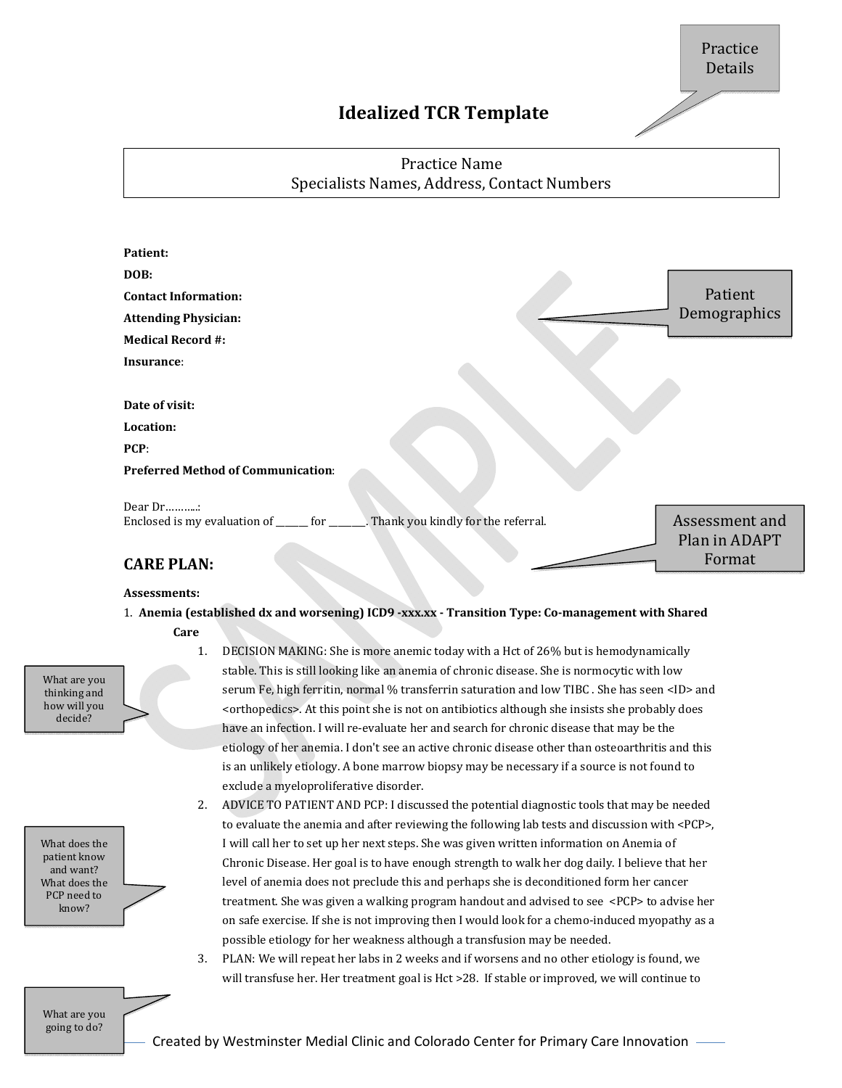# **Idealized TCR Template**

## Practice Name Specialists Names, Address, Contact Numbers

| Patient:                                                                             |                |
|--------------------------------------------------------------------------------------|----------------|
| DOB:                                                                                 |                |
| <b>Contact Information:</b>                                                          | Patient        |
| <b>Attending Physician:</b>                                                          | Demographics   |
| <b>Medical Record #:</b>                                                             |                |
| Insurance:                                                                           |                |
|                                                                                      |                |
| Date of visit:                                                                       |                |
| Location:                                                                            |                |
| PCP:                                                                                 |                |
| <b>Preferred Method of Communication:</b>                                            |                |
| Dear Dr                                                                              |                |
| Enclosed is my evaluation of _______ for _______. Thank you kindly for the referral. | Assessment and |
|                                                                                      | Plan in ADAPT  |
| <b>CARE PLAN:</b>                                                                    | Format         |
|                                                                                      |                |

#### **Assessments:**

- 1. **Anemia (established dx and worsening) ICD9 ‐xxx.xx ‐ Transition Type: Co‐management with Shared Care**
- 

What are you thinking and how will you decide?

| What does the |  |
|---------------|--|
| patient know  |  |
| and want?     |  |
| What does the |  |
| PCP need to   |  |
| know?         |  |
|               |  |

- 1. DECISION MAKING: She is more anemic today with a Hct of 26% but is hemodynamically stable. This is still looking like an anemia of chronic disease. She is normocytic with low serum Fe, high ferritin, normal % transferrin saturation and low TIBC . She has seen <ID> and <orthopedics>. At this point she is not on antibiotics although she insists she probably does have an infection. I will re-evaluate her and search for chronic disease that may be the etiology of her anemia. I don't see an active chronic disease other than osteoarthritis and this is an unlikely etiology. A bone marrow biopsy may be necessary if a source is not found to exclude a myeloproliferative disorder.
- 2. ADVICE TO PATIENT AND PCP: I discussed the potential diagnostic tools that may be needed to evaluate the anemia and after reviewing the following lab tests and discussion with <PCP>, I will call her to set up her next steps. She was given written information on Anemia of Chronic Disease. Her goal is to have enough strength to walk her dog daily. I believe that her level of anemia does not preclude this and perhaps she is deconditioned form her cancer treatment. She was given a walking program handout and advised to see  $\leq$ PCP $>$  to advise her on safe exercise. If she is not improving then I would look for a chemo-induced myopathy as a possible etiology for her weakness although a transfusion may be needed.
- 3. PLAN: We will repeat her labs in 2 weeks and if worsens and no other etiology is found, we will transfuse her. Her treatment goal is Hct >28. If stable or improved, we will continue to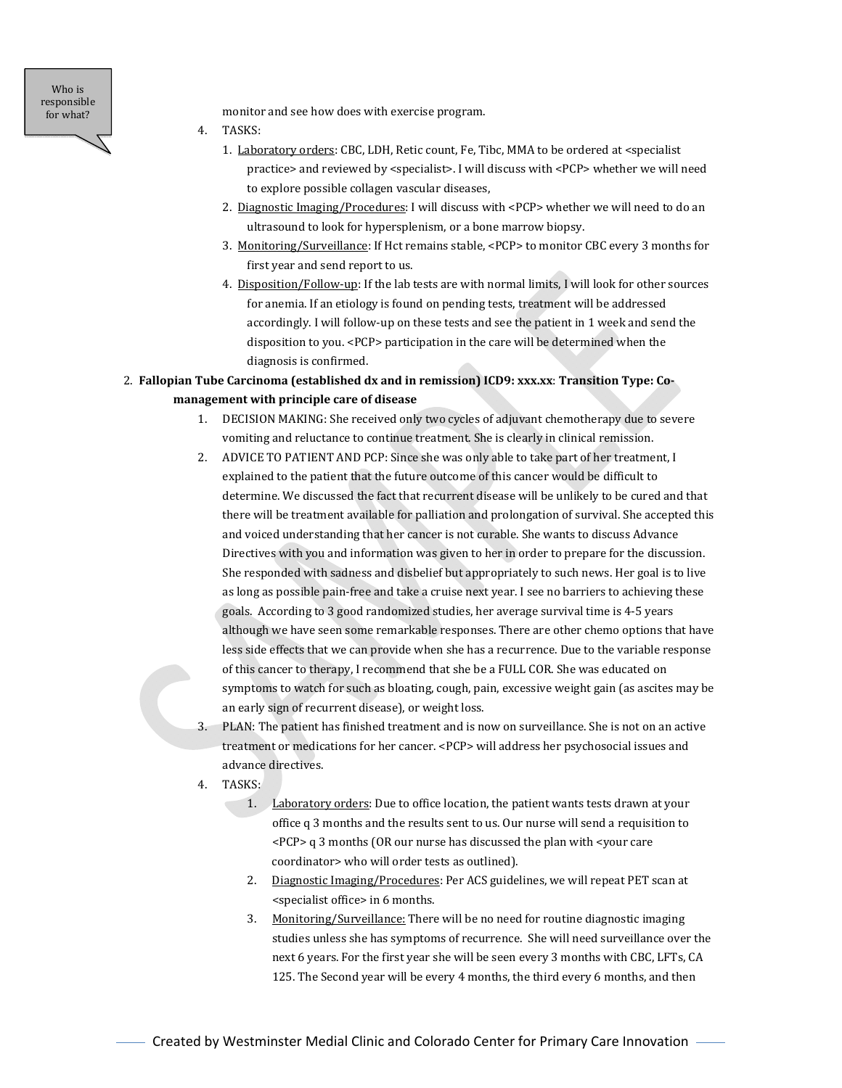Who is responsible for what?

monitor and see how does with exercise program.

- 4. TASKS:
	- 1. Laboratory orders: CBC, LDH, Retic count, Fe, Tibc, MMA to be ordered at <specialist practice> and reviewed by <specialist>. I will discuss with <PCP> whether we will need to explore possible collagen vascular diseases,
	- 2. Diagnostic Imaging/Procedures: I will discuss with <PCP> whether we will need to do an ultrasound to look for hypersplenism, or a bone marrow biopsy.
	- 3. Monitoring/Surveillance: If Hct remains stable, <PCP> to monitor CBC every 3 months for first year and send report to us.
	- 4. Disposition/Follow-up: If the lab tests are with normal limits, I will look for other sources for anemia. If an etiology is found on pending tests, treatment will be addressed accordingly. I will follow-up on these tests and see the patient in 1 week and send the disposition to you. <PCP> participation in the care will be determined when the diagnosis is confirmed.

### 2. **Fallopian Tube Carcinoma (established dx and in remission) ICD9: xxx.xx**: **Transition Type: Co‐ management with principle care of disease**

- 1. DECISION MAKING: She received only two cycles of adjuvant chemotherapy due to severe vomiting and reluctance to continue treatment. She is clearly in clinical remission.
- 2. ADVICE TO PATIENT AND PCP: Since she was only able to take part of her treatment, I explained to the patient that the future outcome of this cancer would be difficult to determine. We discussed the fact that recurrent disease will be unlikely to be cured and that there will be treatment available for palliation and prolongation of survival. She accepted this and voiced understanding that her cancer is not curable. She wants to discuss Advance Directives with you and information was given to her in order to prepare for the discussion. She responded with sadness and disbelief but appropriately to such news. Her goal is to live as long as possible pain-free and take a cruise next year. I see no barriers to achieving these goals. According to 3 good randomized studies, her average survival time is 4-5 years although we have seen some remarkable responses. There are other chemo options that have less side effects that we can provide when she has a recurrence. Due to the variable response of this cancer to therapy, I recommend that she be a FULL COR. She was educated on symptoms to watch for such as bloating, cough, pain, excessive weight gain (as ascites may be an early sign of recurrent disease), or weight loss.
- 3. PLAN: The patient has finished treatment and is now on surveillance. She is not on an active treatment or medications for her cancer. <PCP> will address her psychosocial issues and advance directives.
- 4. TASKS:
	- 1. Laboratory orders: Due to office location, the patient wants tests drawn at your office q 3 months and the results sent to us. Our nurse will send a requisition to  $\langle PCP \rangle$  g 3 months (OR our nurse has discussed the plan with  $\langle$  your care coordinator> who will order tests as outlined).
	- 2. Diagnostic Imaging/Procedures: Per ACS guidelines, we will repeat PET scan at <specialist office> in 6 months.
	- 3. Monitoring/Surveillance: There will be no need for routine diagnostic imaging studies unless she has symptoms of recurrence. She will need surveillance over the next 6 years. For the first year she will be seen every 3 months with CBC, LFTs, CA 125. The Second year will be every 4 months, the third every 6 months, and then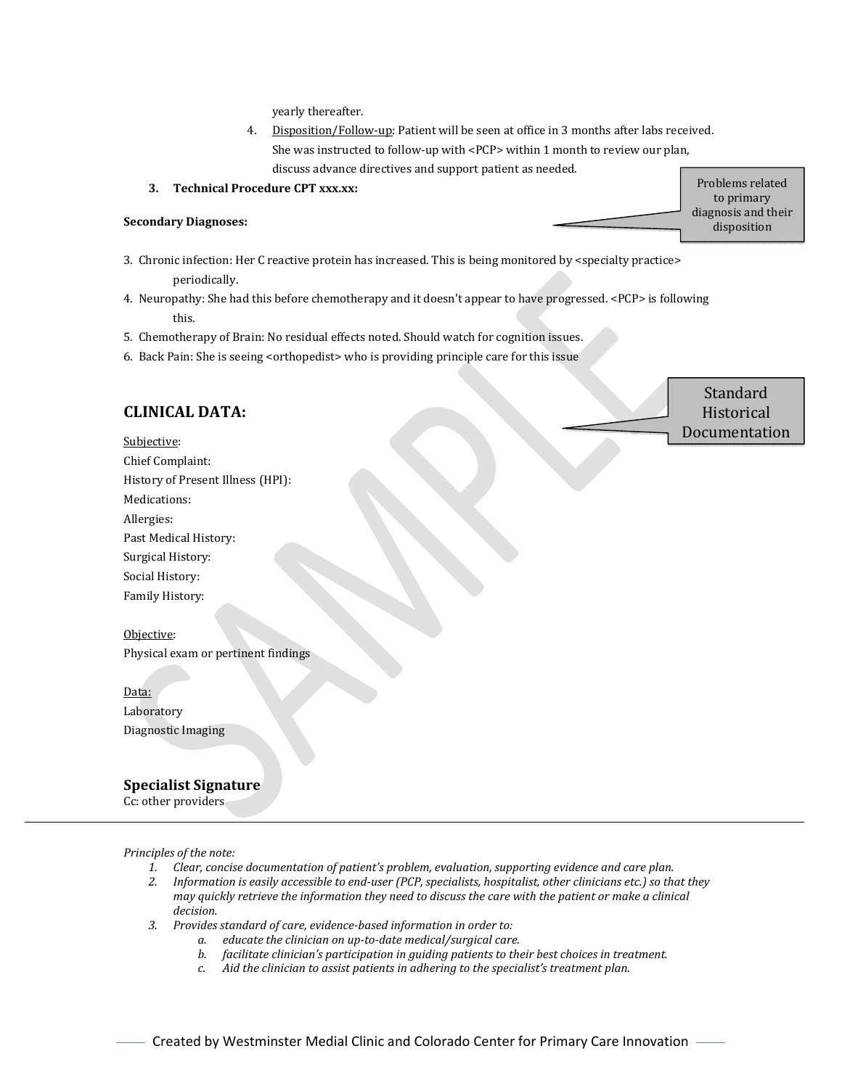yearly thereafter.

- 4. Disposition/Follow-up: Patient will be seen at office in 3 months after labs received. She was instructed to follow-up with <PCP> within 1 month to review our plan, discuss advance directives and support patient as needed.
- **3. Technical Procedure CPT xxx.xx:**

#### **Secondary Diagnoses:**

- 3. Chronic infection: Her C reactive protein has increased. This is being monitored by <specialty practice> periodically.
- 4. Neuropathy: She had this before chemotherapy and it doesn't appear to have progressed. <PCP> is following this.
- 5. Chemotherapy of Brain: No residual effects noted. Should watch for cognition issues.
- 6. Back Pain: She is seeing <orthopedist> who is providing principle care for this issue

## **CLINICAL DATA:** Subjective: Chief Complaint: History of Present Illness (HPI): Medications: Allergies: Past Medical History: Surgical History: Social History: Family History: Objective: Physical exam or pertinent findings Data: Laboratory Diagnostic Imaging **Standard Historical** Documentation

### **Specialist Signature**

Cc: other providers

*Principles of the note:*

- *1. Clear, concise documentation of patient's problem, evaluation, supporting evidence and care plan.*
- 2. Information is easily accessible to end-user (PCP, specialists, hospitalist, other clinicians etc.) so that they may quickly retrieve the information they need to discuss the care with the patient or make a clinical *decision.*
- *3. Provides standard of care, evidence‐based information in order to:*
	- *a. educate the clinician on up‐to‐date medical/surgical care.*
		- *b. facilitate clinician's participation in guiding patients to their best choices in treatment.*
		- *c. Aid the clinician to assist patients in adhering to the specialist's treatment plan.*